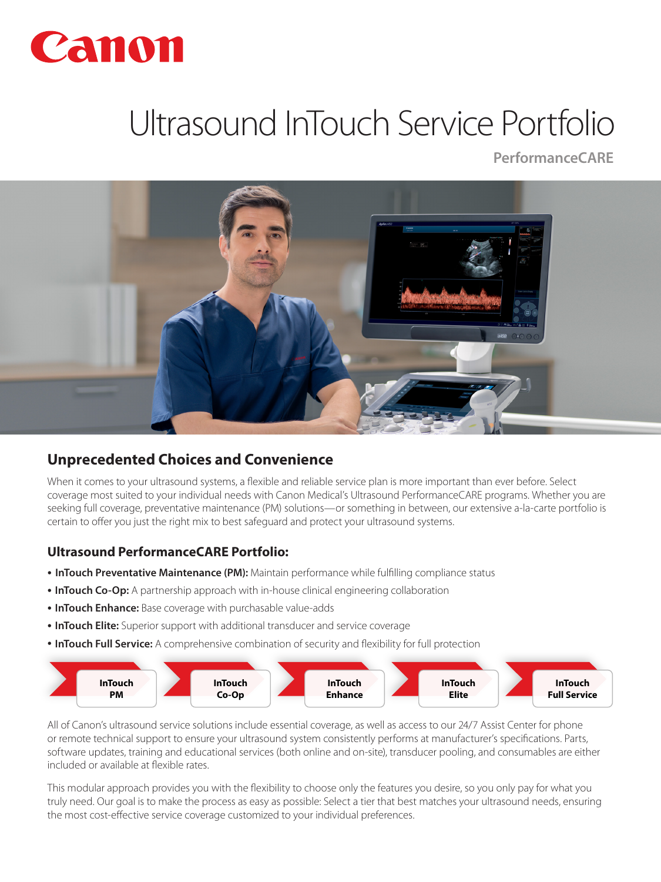

# Ultrasound InTouch Service Portfolio

**PerformanceCARE**



## **Unprecedented Choices and Convenience**

When it comes to your ultrasound systems, a flexible and reliable service plan is more important than ever before. Select coverage most suited to your individual needs with Canon Medical's Ultrasound PerformanceCARE programs. Whether you are seeking full coverage, preventative maintenance (PM) solutions—or something in between, our extensive a-la-carte portfolio is certain to offer you just the right mix to best safeguard and protect your ultrasound systems.

## **Ultrasound PerformanceCARE Portfolio:**

- **InTouch Preventative Maintenance (PM):** Maintain performance while fulfilling compliance status
- **InTouch Co-Op:** A partnership approach with in-house clinical engineering collaboration
- **InTouch Enhance:** Base coverage with purchasable value-adds
- **InTouch Elite:** Superior support with additional transducer and service coverage
- **InTouch Full Service:** A comprehensive combination of security and flexibility for full protection



All of Canon's ultrasound service solutions include essential coverage, as well as access to our 24/7 Assist Center for phone or remote technical support to ensure your ultrasound system consistently performs at manufacturer's specifications. Parts, software updates, training and educational services (both online and on-site), transducer pooling, and consumables are either included or available at flexible rates.

This modular approach provides you with the flexibility to choose only the features you desire, so you only pay for what you truly need. Our goal is to make the process as easy as possible: Select a tier that best matches your ultrasound needs, ensuring the most cost-effective service coverage customized to your individual preferences.